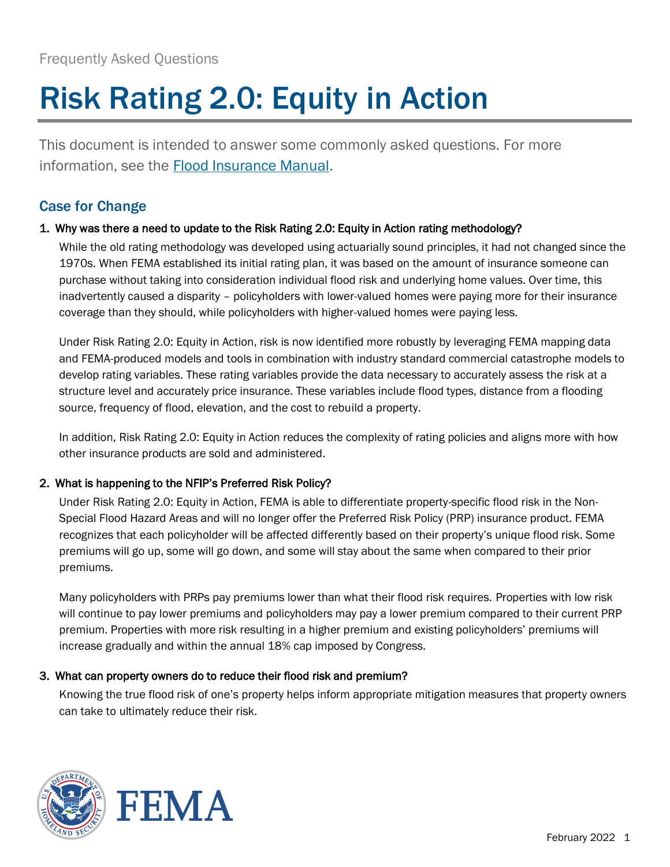# Risk Rating 2.0: Equity in Action

This document is intended to answer some commonly asked questions. For more information, see the [Flood Insurance Manual.](https://www.fema.gov/sites/default/files/documents/fema_nfip-flood-insurance-manual-sections-1-6_oct2021.pdf)

# Case for Change

## 1. Why was there a need to update to the Risk Rating 2.0: Equity in Action rating methodology?

While the old rating methodology was developed using actuarially sound principles, it had not changed since the 1970s. When FEMA established its initial rating plan, it was based on the amount of insurance someone can purchase without taking into consideration individual flood risk and underlying home values. Over time, this inadvertently caused a disparity – policyholders with lower-valued homes were paying more for their insurance coverage than they should, while policyholders with higher-valued homes were paying less.

Under Risk Rating 2.0: Equity in Action, risk is now identified more robustly by leveraging FEMA mapping data and FEMA-produced models and tools in combination with industry standard commercial catastrophe models to develop rating variables. These rating variables provide the data necessary to accurately assess the risk at a structure level and accurately price insurance. These variables include flood types, distance from a flooding source, frequency of flood, elevation, and the cost to rebuild a property.

In addition, Risk Rating 2.0: Equity in Action reduces the complexity of rating policies and aligns more with how other insurance products are sold and administered.

## 2. What is happening to the NFIP's Preferred Risk Policy?

Under Risk Rating 2.0: Equity in Action, FEMA is able to differentiate property-specific flood risk in the Non-Special Flood Hazard Areas and will no longer offer the Preferred Risk Policy (PRP) insurance product. FEMA recognizes that each policyholder will be affected differently based on their property's unique flood risk. Some premiums will go up, some will go down, and some will stay about the same when compared to their prior premiums.

Many policyholders with PRPs pay premiums lower than what their flood risk requires. Properties with low risk will continue to pay lower premiums and policyholders may pay a lower premium compared to their current PRP premium. Properties with more risk resulting in a higher premium and existing policyholders' premiums will increase gradually and within the annual 18% cap imposed by Congress.

## 3. What can property owners do to reduce their flood risk and premium?

Knowing the true flood risk of one's property helps inform appropriate mitigation measures that property owners can take to ultimately reduce their risk.

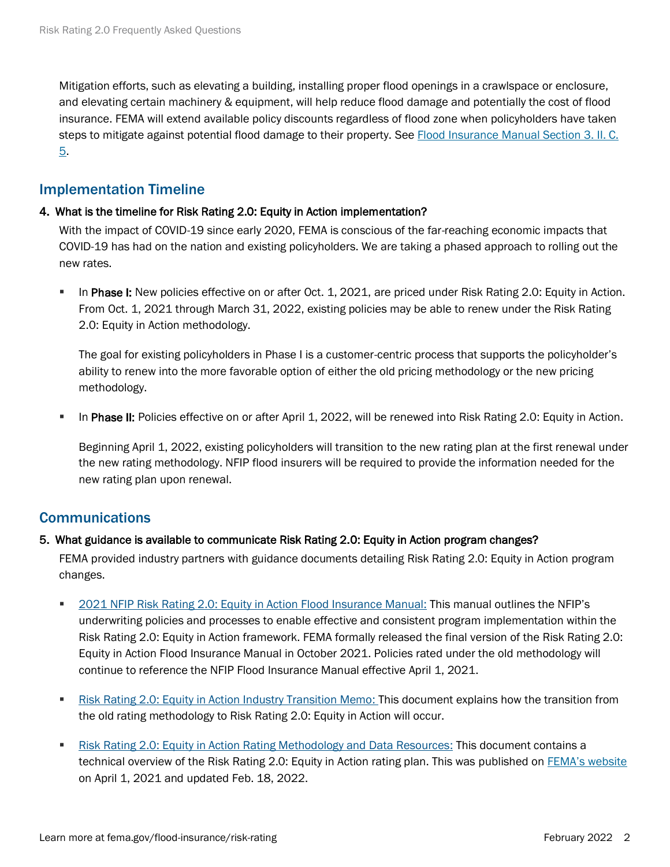Mitigation efforts, such as elevating a building, installing proper flood openings in a crawlspace or enclosure, and elevating certain machinery & equipment, will help reduce flood damage and potentially the cost of flood insurance. FEMA will extend available policy discounts regardless of flood zone when policyholders have taken steps to mitigate against potential flood damage to their property. See [Flood Insurance Manual Section 3. II. C.](https://www.fema.gov/sites/default/files/documents/fema_nfip-flood-insurance-manual-sections-1-6_oct2021.pdf)  [5.](https://www.fema.gov/sites/default/files/documents/fema_nfip-flood-insurance-manual-sections-1-6_oct2021.pdf)

## Implementation Timeline

## 4. What is the timeline for Risk Rating 2.0: Equity in Action implementation?

With the impact of COVID-19 since early 2020, FEMA is conscious of the far-reaching economic impacts that COVID-19 has had on the nation and existing policyholders. We are taking a phased approach to rolling out the new rates.

In Phase I: New policies effective on or after Oct. 1, 2021, are priced under Risk Rating 2.0: Equity in Action. From Oct. 1, 2021 through March 31, 2022, existing policies may be able to renew under the Risk Rating 2.0: Equity in Action methodology.

The goal for existing policyholders in Phase I is a customer-centric process that supports the policyholder's ability to renew into the more favorable option of either the old pricing methodology or the new pricing methodology.

**• In Phase II:** Policies effective on or after April 1, 2022, will be renewed into Risk Rating 2.0: Equity in Action.

Beginning April 1, 2022, existing policyholders will transition to the new rating plan at the first renewal under the new rating methodology. NFIP flood insurers will be required to provide the information needed for the new rating plan upon renewal.

## **Communications**

## 5. What guidance is available to communicate Risk Rating 2.0: Equity in Action program changes?

FEMA provided industry partners with guidance documents detailing Risk Rating 2.0: Equity in Action program changes.

- [2021 NFIP Risk Rating 2.0: Equity in Action Flood Insurance Manual:](https://www.fema.gov/flood-insurance/work-with-nfip/manuals/current) This manual outlines the NFIP's underwriting policies and processes to enable effective and consistent program implementation within the Risk Rating 2.0: Equity in Action framework. FEMA formally released the final version of the Risk Rating 2.0: Equity in Action Flood Insurance Manual in October 2021. Policies rated under the old methodology will continue to reference the NFIP Flood Insurance Manual effective April 1, 2021.
- [Risk Rating 2.0: Equity in Action Industry Transition Memo:](https://nfipservices.floodsmart.gov/sites/default/files/w-21012_RR%202.0%20ITM_9-1-21.pdf) This document explains how the transition from the old rating methodology to Risk Rating 2.0: Equity in Action will occur.
- [Risk Rating 2.0: Equity in Action Rating Methodology and Data Resources:](https://www.fema.gov/sites/default/files/documents/FEMA_Risk-Rating-2.0_Methodology-and-Data-Appendix__01-22.pdf) This document contains a technical overview of the Risk Rating 2.0: Equity in Action rating plan. This was published on [FEMA's website](http://www.fema.gov/) on April 1, 2021 and updated Feb. 18, 2022.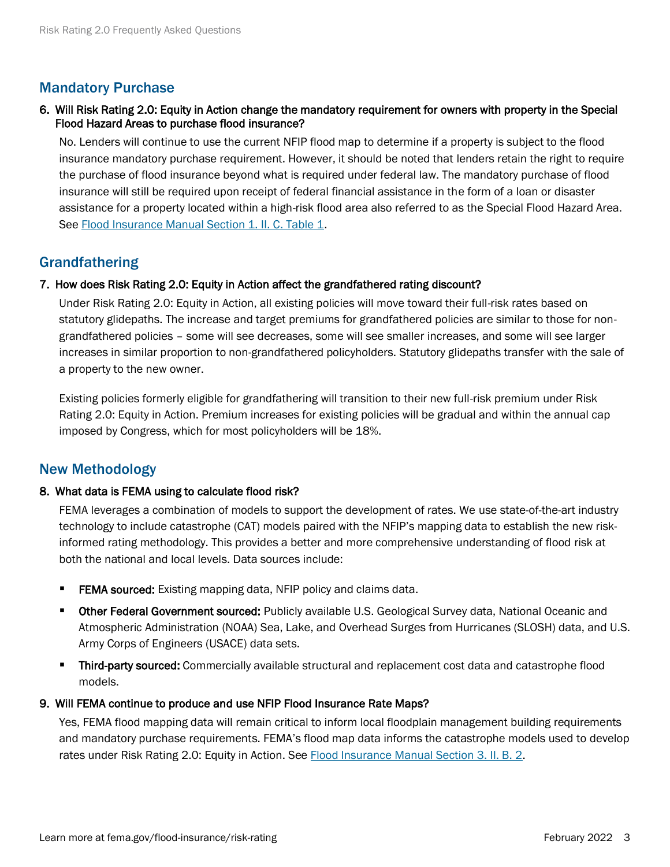## Mandatory Purchase

## 6. Will Risk Rating 2.0: Equity in Action change the mandatory requirement for owners with property in the Special Flood Hazard Areas to purchase flood insurance?

No. Lenders will continue to use the current NFIP flood map to determine if a property is subject to the flood insurance mandatory purchase requirement. However, it should be noted that lenders retain the right to require the purchase of flood insurance beyond what is required under federal law. The mandatory purchase of flood insurance will still be required upon receipt of federal financial assistance in the form of a loan or disaster assistance for a property located within a high-risk flood area also referred to as the Special Flood Hazard Area. See [Flood Insurance Manual Section 1. II. C. Table 1.](https://www.fema.gov/sites/default/files/documents/fema_nfip-flood-insurance-manual-sections-1-6_oct2021.pdf)

## **Grandfathering**

## 7. How does Risk Rating 2.0: Equity in Action affect the grandfathered rating discount?

Under Risk Rating 2.0: Equity in Action, all existing policies will move toward their full-risk rates based on statutory glidepaths. The increase and target premiums for grandfathered policies are similar to those for nongrandfathered policies – some will see decreases, some will see smaller increases, and some will see larger increases in similar proportion to non-grandfathered policyholders. Statutory glidepaths transfer with the sale of a property to the new owner.

Existing policies formerly eligible for grandfathering will transition to their new full-risk premium under Risk Rating 2.0: Equity in Action. Premium increases for existing policies will be gradual and within the annual cap imposed by Congress, which for most policyholders will be 18%.

## New Methodology

#### 8. What data is FEMA using to calculate flood risk?

FEMA leverages a combination of models to support the development of rates. We use state-of-the-art industry technology to include catastrophe (CAT) models paired with the NFIP's mapping data to establish the new riskinformed rating methodology. This provides a better and more comprehensive understanding of flood risk at both the national and local levels. Data sources include:

- **FEMA sourced:** Existing mapping data, NFIP policy and claims data.
- Other Federal Government sourced: Publicly available U.S. Geological Survey data, National Oceanic and Atmospheric Administration (NOAA) Sea, Lake, and Overhead Surges from Hurricanes (SLOSH) data, and U.S. Army Corps of Engineers (USACE) data sets.
- **Third-party sourced:** Commercially available structural and replacement cost data and catastrophe flood models.

#### 9. Will FEMA continue to produce and use NFIP Flood Insurance Rate Maps?

Yes, FEMA flood mapping data will remain critical to inform local floodplain management building requirements and mandatory purchase requirements. FEMA's flood map data informs the catastrophe models used to develop rates under Risk Rating 2.0: Equity in Action. Se[e Flood Insurance Manual Section 3. II. B. 2.](https://www.fema.gov/sites/default/files/documents/fema_nfip-flood-insurance-manual-sections-1-6_oct2021.pdf)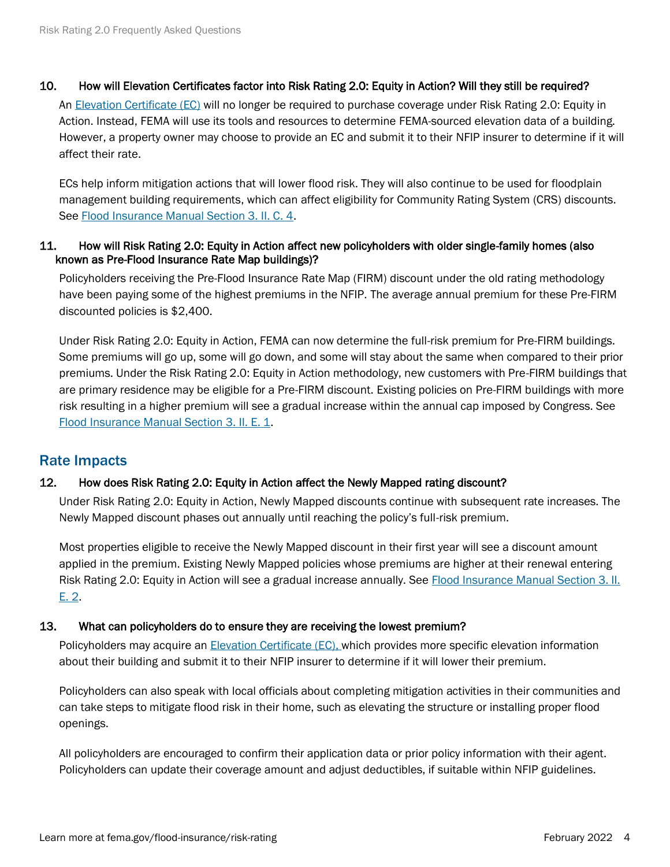## 10. How will Elevation Certificates factor into Risk Rating 2.0: Equity in Action? Will they still be required?

An [Elevation Certificate \(EC\)](https://www.fema.gov/sites/default/files/2020-07/fema_nfip_elevation-certificate-form_feb-2020.pdf) will no longer be required to purchase coverage under Risk Rating 2.0: Equity in Action. Instead, FEMA will use its tools and resources to determine FEMA-sourced elevation data of a building. However, a property owner may choose to provide an EC and submit it to their NFIP insurer to determine if it will affect their rate.

ECs help inform mitigation actions that will lower flood risk. They will also continue to be used for floodplain management building requirements, which can affect eligibility for Community Rating System (CRS) discounts. See [Flood Insurance Manual Section 3. II. C. 4.](https://www.fema.gov/sites/default/files/documents/fema_nfip-flood-insurance-manual-sections-1-6_oct2021.pdf)

## 11. How will Risk Rating 2.0: Equity in Action affect new policyholders with older single-family homes (also known as Pre-Flood Insurance Rate Map buildings)?

Policyholders receiving the Pre-Flood Insurance Rate Map (FIRM) discount under the old rating methodology have been paying some of the highest premiums in the NFIP. The average annual premium for these Pre-FIRM discounted policies is \$2,400.

Under Risk Rating 2.0: Equity in Action, FEMA can now determine the full-risk premium for Pre-FIRM buildings. Some premiums will go up, some will go down, and some will stay about the same when compared to their prior premiums. Under the Risk Rating 2.0: Equity in Action methodology, new customers with Pre-FIRM buildings that are primary residence may be eligible for a Pre-FIRM discount. Existing policies on Pre-FIRM buildings with more risk resulting in a higher premium will see a gradual increase within the annual cap imposed by Congress. See [Flood Insurance Manual Section 3. II. E. 1.](https://www.fema.gov/sites/default/files/documents/fema_nfip-flood-insurance-manual-sections-1-6_oct2021.pdf)

## Rate Impacts

## 12. How does Risk Rating 2.0: Equity in Action affect the Newly Mapped rating discount?

Under Risk Rating 2.0: Equity in Action, Newly Mapped discounts continue with subsequent rate increases. The Newly Mapped discount phases out annually until reaching the policy's full-risk premium.

Most properties eligible to receive the Newly Mapped discount in their first year will see a discount amount applied in the premium. Existing Newly Mapped policies whose premiums are higher at their renewal entering Risk Rating 2.0: Equity in Action will see a gradual increase annually. See Flood Insurance Manual Section 3. II. [E. 2.](https://www.fema.gov/sites/default/files/documents/fema_nfip-flood-insurance-manual-sections-1-6_oct2021.pdf)

## 13. What can policyholders do to ensure they are receiving the lowest premium?

Policyholders may acquire an [Elevation Certificate \(EC\),](https://www.fema.gov/sites/default/files/2020-07/fema_nfip_elevation-certificate-form_feb-2020.pdf) which provides more specific elevation information about their building and submit it to their NFIP insurer to determine if it will lower their premium.

Policyholders can also speak with local officials about completing mitigation activities in their communities and can take steps to mitigate flood risk in their home, such as elevating the structure or installing proper flood openings.

All policyholders are encouraged to confirm their application data or prior policy information with their agent. Policyholders can update their coverage amount and adjust deductibles, if suitable within NFIP guidelines.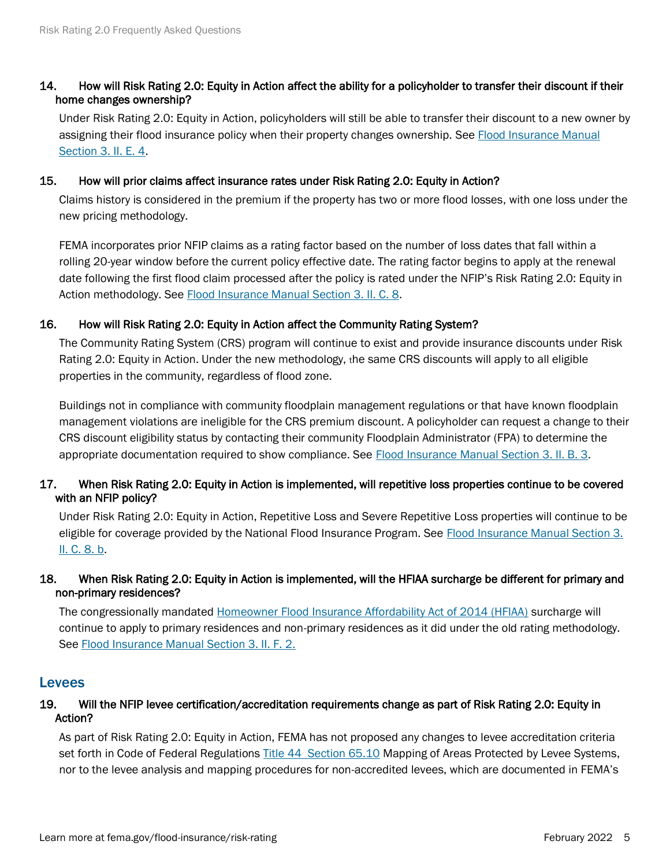## 14. How will Risk Rating 2.0: Equity in Action affect the ability for a policyholder to transfer their discount if their home changes ownership?

Under Risk Rating 2.0: Equity in Action, policyholders will still be able to transfer their discount to a new owner by assigning their flood insurance policy when their property changes ownership. Se[e Flood Insurance Manual](https://www.fema.gov/sites/default/files/documents/fema_nfip-flood-insurance-manual-sections-1-6_oct2021.pdf)  [Section 3. II. E. 4.](https://www.fema.gov/sites/default/files/documents/fema_nfip-flood-insurance-manual-sections-1-6_oct2021.pdf)

#### 15. How will prior claims affect insurance rates under Risk Rating 2.0: Equity in Action?

Claims history is considered in the premium if the property has two or more flood losses, with one loss under the new pricing methodology.

FEMA incorporates prior NFIP claims as a rating factor based on the number of loss dates that fall within a rolling 20-year window before the current policy effective date. The rating factor begins to apply at the renewal date following the first flood claim processed after the policy is rated under the NFIP's Risk Rating 2.0: Equity in Action methodology. See [Flood Insurance Manual Section 3. II. C. 8.](https://www.fema.gov/sites/default/files/documents/fema_nfip-flood-insurance-manual-sections-1-6_oct2021.pdf)

## 16. How will Risk Rating 2.0: Equity in Action affect the Community Rating System?

The Community Rating System (CRS) program will continue to exist and provide insurance discounts under Risk Rating 2.0: Equity in Action. Under the new methodology, the same CRS discounts will apply to all eligible properties in the community, regardless of flood zone.

Buildings not in compliance with community floodplain management regulations or that have known floodplain management violations are ineligible for the CRS premium discount. A policyholder can request a change to their CRS discount eligibility status by contacting their community Floodplain Administrator (FPA) to determine the appropriate documentation required to show compliance. See [Flood Insurance Manual Section 3. II. B. 3.](https://www.fema.gov/sites/default/files/documents/fema_nfip-flood-insurance-manual-sections-1-6_oct2021.pdf)

## 17. When Risk Rating 2.0: Equity in Action is implemented, will repetitive loss properties continue to be covered with an NFIP policy?

Under Risk Rating 2.0: Equity in Action, Repetitive Loss and Severe Repetitive Loss properties will continue to be eligible for coverage provided by the National Flood Insurance Program. See [Flood Insurance Manual Section 3.](https://www.fema.gov/sites/default/files/documents/fema_nfip-flood-insurance-manual-sections-1-6_oct2021.pdf)  [II. C. 8. b.](https://www.fema.gov/sites/default/files/documents/fema_nfip-flood-insurance-manual-sections-1-6_oct2021.pdf)

## 18. When Risk Rating 2.0: Equity in Action is implemented, will the HFIAA surcharge be different for primary and non-primary residences?

The congressionally mandated [Homeowner Flood Insurance Affordability Act of 2014 \(HFIAA\)](https://www.congress.gov/bill/113th-congress/house-bill/3370) surcharge will continue to apply to primary residences and non-primary residences as it did under the old rating methodology. See [Flood Insurance Manual Section 3. II. F. 2.](https://www.fema.gov/sites/default/files/documents/fema_nfip-flood-insurance-manual-sections-1-6_oct2021.pdf)

## **Levees**

## 19. Will the NFIP levee certification/accreditation requirements change as part of Risk Rating 2.0: Equity in Action?

As part of Risk Rating 2.0: Equity in Action, FEMA has not proposed any changes to levee accreditation criteria set forth in Code of Federal Regulations [Title 44 Section 65.10](https://www.ecfr.gov/current/title-44/chapter-I/subchapter-B/part-65/section-65.10) Mapping of Areas Protected by Levee Systems, nor to the levee analysis and mapping procedures for non-accredited levees, which are documented in FEMA's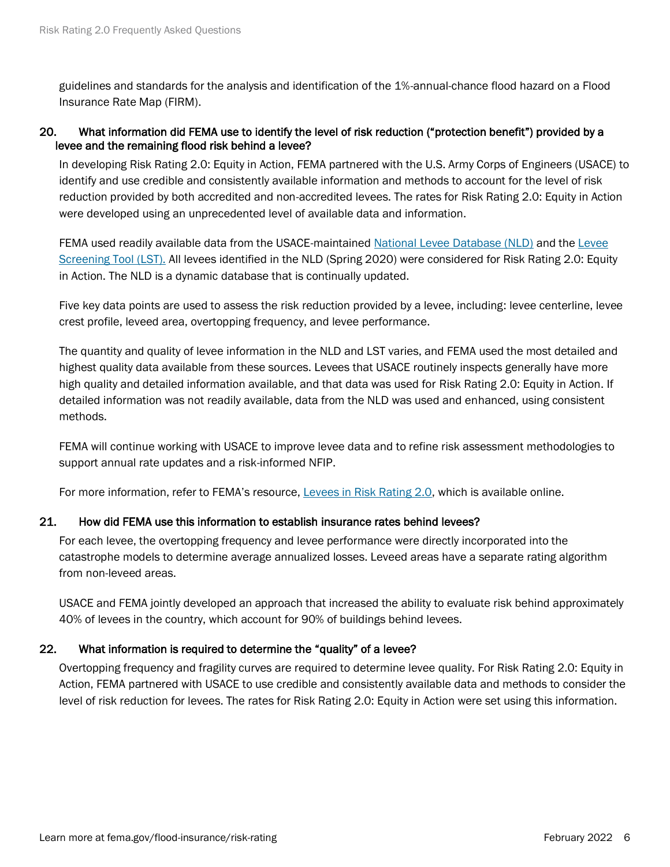guidelines and standards for the analysis and identification of the 1%-annual-chance flood hazard on a Flood Insurance Rate Map (FIRM).

## 20. What information did FEMA use to identify the level of risk reduction ("protection benefit") provided by a levee and the remaining flood risk behind a levee?

In developing Risk Rating 2.0: Equity in Action, FEMA partnered with the U.S. Army Corps of Engineers (USACE) to identify and use credible and consistently available information and methods to account for the level of risk reduction provided by both accredited and non-accredited levees. The rates for Risk Rating 2.0: Equity in Action were developed using an unprecedented level of available data and information.

FEMA used readily available data from the USACE-maintaine[d National Levee Database \(NLD\)](https://levees.sec.usace.army.mil/) and the Levee [Screening Tool \(LST\).](https://www.spl.usace.army.mil/Portals/17/docs/LeveeSafetyProgram/background.pdf#:~:text=Overview%20of%20the%20USACE%20Levee%20Screening%20Tool.%20The,and%20associated%20risks%20of%20levees%20in%20the%20US.) All levees identified in the NLD (Spring 2020) were considered for Risk Rating 2.0: Equity in Action. The NLD is a dynamic database that is continually updated.

Five key data points are used to assess the risk reduction provided by a levee, including: levee centerline, levee crest profile, leveed area, overtopping frequency, and levee performance.

The quantity and quality of levee information in the NLD and LST varies, and FEMA used the most detailed and highest quality data available from these sources. Levees that USACE routinely inspects generally have more high quality and detailed information available, and that data was used for Risk Rating 2.0: Equity in Action. If detailed information was not readily available, data from the NLD was used and enhanced, using consistent methods.

FEMA will continue working with USACE to improve levee data and to refine risk assessment methodologies to support annual rate updates and a risk-informed NFIP.

For more information, refer to FEMA's resource, [Levees in Risk Rating 2.0,](https://www.fema.gov/sites/default/files/documents/FEMA_Levees-in-Risk-Rating-2.0_2_22.pdf) which is available online.

## 21. How did FEMA use this information to establish insurance rates behind levees?

For each levee, the overtopping frequency and levee performance were directly incorporated into the catastrophe models to determine average annualized losses. Leveed areas have a separate rating algorithm from non-leveed areas.

USACE and FEMA jointly developed an approach that increased the ability to evaluate risk behind approximately 40% of levees in the country, which account for 90% of buildings behind levees.

## 22. What information is required to determine the "quality" of a levee?

Overtopping frequency and fragility curves are required to determine levee quality. For Risk Rating 2.0: Equity in Action, FEMA partnered with USACE to use credible and consistently available data and methods to consider the level of risk reduction for levees. The rates for Risk Rating 2.0: Equity in Action were set using this information.